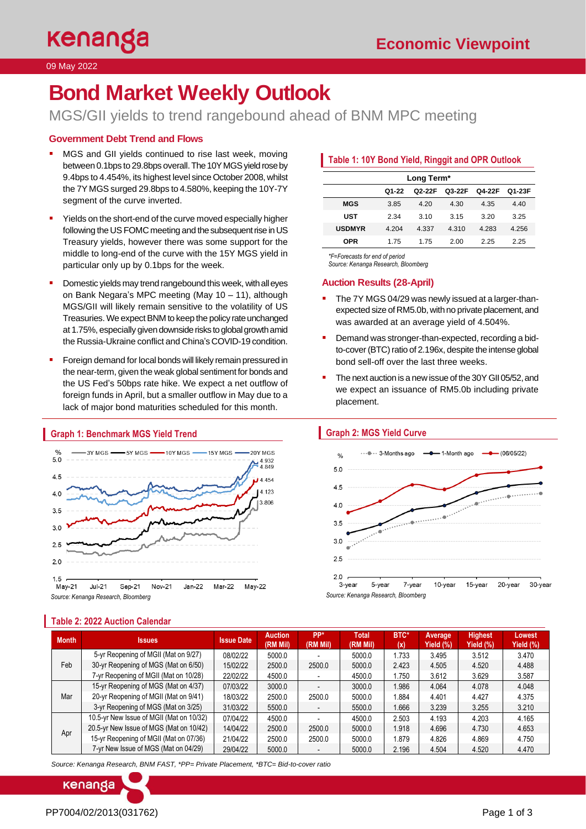#### 09 May 2022

# **Bond Market Weekly Outlook**

MGS/GII yields to trend rangebound ahead of BNM MPC meeting

# **Government Debt Trend and Flows**

- MGS and GII yields continued to rise last week, moving between 0.1bps to 29.8bps overall. The 10Y MGS yield rose by 9.4bps to 4.454%, its highest level since October 2008, whilst the 7Y MGS surged 29.8bps to 4.580%, keeping the 10Y-7Y segment of the curve inverted.
- Yields on the short-end of the curve moved especially higher following the US FOMC meeting and the subsequent rise in US Treasury yields, however there was some support for the middle to long-end of the curve with the 15Y MGS yield in particular only up by 0.1bps for the week.
- Domestic yields may trend rangebound this week, with all eyes on Bank Negara's MPC meeting (May 10 – 11), although MGS/GII will likely remain sensitive to the volatility of US Treasuries. We expect BNM to keep the policy rate unchanged at 1.75%, especially given downside risks to global growth amid the Russia-Ukraine conflict and China's COVID-19 condition.
- Foreign demand for local bonds will likely remain pressured in the near-term, given the weak global sentiment for bonds and the US Fed's 50bps rate hike. We expect a net outflow of foreign funds in April, but a smaller outflow in May due to a lack of major bond maturities scheduled for this month.



#### **Graph 1: Benchmark MGS Yield Trend**

**Table 2: 2022 Auction Calendar**

# **Table 1: 10Y Bond Yield, Ringgit and OPR Outlook**

| Long Term*    |       |        |        |        |        |  |  |  |  |
|---------------|-------|--------|--------|--------|--------|--|--|--|--|
|               | Q1-22 | Q2-22F | Q3-22F | Q4-22F | Q1-23F |  |  |  |  |
| <b>MGS</b>    | 3.85  | 4.20   | 4.30   | 4.35   | 4.40   |  |  |  |  |
| <b>UST</b>    | 2.34  | 310    | 3 15   | 3.20   | 3.25   |  |  |  |  |
| <b>USDMYR</b> | 4.204 | 4.337  | 4.310  | 4.283  | 4.256  |  |  |  |  |
| OPR           | 1.75  | 1 75   | 2.00   | 2.25   | 2.25   |  |  |  |  |

*\*F=Forecasts for end of period* 

*Source: Kenanga Research, Bloomberg*

# **Auction Results (28-April)**

- The 7Y MGS 04/29 was newly issued at a larger-thanexpected size of RM5.0b, with no private placement, and was awarded at an average yield of 4.504%.
- **•** Demand was stronger-than-expected, recording a bidto-cover (BTC) ratio of 2.196x, despite the intense global bond sell-off over the last three weeks.
- The next auction is a new issue of the 30Y GII 05/52, and we expect an issuance of RM5.0b including private placement.

# **Graph 2: MGS Yield Curve**





| <b>Month</b> | <b>Issues</b>                            | <b>Issue Date</b> | <b>Auction</b><br>(RM Mil) | PP*<br>(RM Mil) | Total<br>(RM Mil) | <b>BTC*</b><br>(x) | Average,<br>Yield (%) | <b>Highest</b><br>Yield (%). | Lowest<br>Yield (%) |
|--------------|------------------------------------------|-------------------|----------------------------|-----------------|-------------------|--------------------|-----------------------|------------------------------|---------------------|
| Feb          | 5-yr Reopening of MGII (Mat on 9/27)     | 08/02/22          | 5000.0                     |                 | 5000.0            | 1.733              | 3.495                 | 3.512                        | 3.470               |
|              | 30-yr Reopening of MGS (Mat on 6/50)     | 15/02/22          | 2500.0                     | 2500.0          | 5000.0            | 2.423              | 4.505                 | 4.520                        | 4.488               |
|              | 7-yr Reopening of MGII (Mat on 10/28)    | 22/02/22          | 4500.0                     |                 | 4500.0            | 1.750              | 3.612                 | 3.629                        | 3.587               |
| Mar          | 15-yr Reopening of MGS (Mat on 4/37)     | 07/03/22          | 3000.0                     |                 | 3000.0            | 1.986              | 4.064                 | 4.078                        | 4.048               |
|              | 20-yr Reopening of MGII (Mat on 9/41)    | 18/03/22          | 2500.0                     | 2500.0          | 5000.0            | 1.884              | 4.401                 | 4.427                        | 4.375               |
|              | 3-yr Reopening of MGS (Mat on 3/25)      | 31/03/22          | 5500.0                     |                 | 5500.0            | 1.666              | 3.239                 | 3.255                        | 3.210               |
| Apr          | 10.5-yr New Issue of MGII (Mat on 10/32) | 07/04/22          | 4500.0                     |                 | 4500.0            | 2.503              | 4.193                 | 4.203                        | 4.165               |
|              | 20.5-yr New Issue of MGS (Mat on 10/42)  | 14/04/22          | 2500.0                     | 2500.0          | 5000.0            | 1.918              | 4.696                 | 4.730                        | 4.653               |
|              | 15-yr Reopening of MGII (Mat on 07/36)   | 21/04/22          | 2500.0                     | 2500.0          | 5000.0            | 1.879              | 4.826                 | 4.869                        | 4.750               |
|              | 7-yr New Issue of MGS (Mat on 04/29)     | 29/04/22          | 5000.0                     |                 | 5000.0            | 2.196              | 4.504                 | 4.520                        | 4.470               |

*Source: Kenanga Research, BNM FAST, \*PP= Private Placement, \*BTC= Bid-to-cover ratio*

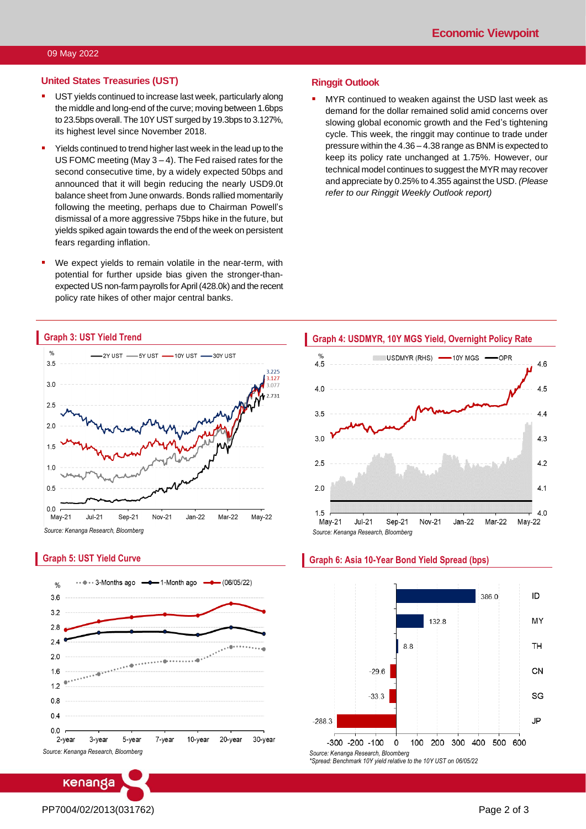### **United States Treasuries (UST)**

- **UST yields continued to increase last week, particularly along** the middle and long-end of the curve; moving between 1.6bps to 23.5bps overall.The 10Y UST surged by 19.3bps to 3.127%, its highest level since November 2018.
- Yields continued to trend higher last week in the lead up to the US FOMC meeting (May 3 – 4). The Fed raised rates for the second consecutive time, by a widely expected 50bps and announced that it will begin reducing the nearly USD9.0t balance sheet from June onwards. Bonds rallied momentarily following the meeting, perhaps due to Chairman Powell's dismissal of a more aggressive 75bps hike in the future, but yields spiked again towards the end of the week on persistent fears regarding inflation.
- We expect yields to remain volatile in the near-term, with potential for further upside bias given the stronger-thanexpected US non-farm payrolls for April (428.0k) and the recent policy rate hikes of other major central banks.

#### **Ringgit Outlook**

MYR continued to weaken against the USD last week as demand for the dollar remained solid amid concerns over slowing global economic growth and the Fed's tightening cycle. This week, the ringgit may continue to trade under pressure within the 4.36 – 4.38 range as BNM is expected to keep its policy rate unchanged at 1.75%. However, our technical model continues to suggest the MYR may recover and appreciate by 0.25% to 4.355 against the USD. *(Please refer to our Ringgit Weekly Outlook report)*



### **Graph 5: UST Yield Curve**







#### **Graph 6: Asia 10-Year Bond Yield Spread (bps)**

*Source: Kenanga Research, Bloomberg \*Spread: Benchmark 10Y yield relative to the 10Y UST on 06/05/22*

Level 12, Kenanga Tower, 237, Jalan Tun Razak, 50400 Kuala Lumpur, Malaysia Chan Ken Yew Telephone: (603) 2172 0880 Web[site: www.kenanga.com](http://www.kenanga.com.my/).my [E-mail:](mailto:resear) research@kenanga.com.my Head of Research

**ENANGA INVESTMENT BANK BERHAD (15678-H)**